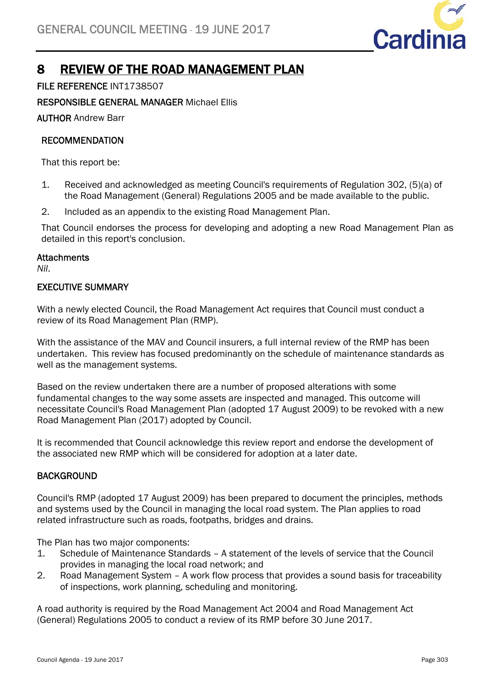

# 8 REVIEW OF THE ROAD MANAGEMENT PLAN

# FILE REFERENCE INT1738507

# RESPONSIBLE GENERAL MANAGER Michael Ellis

AUTHOR Andrew Barr

# **RECOMMENDATION**

That this report be:

- 1. Received and acknowledged as meeting Council's requirements of Regulation 302, (5)(a) of the Road Management (General) Regulations 2005 and be made available to the public.
- 2. Included as an appendix to the existing Road Management Plan.

That Council endorses the process for developing and adopting a new Road Management Plan as detailed in this report's conclusion.

#### **Attachments**

*Nil*.

# EXECUTIVE SUMMARY

With a newly elected Council, the Road Management Act requires that Council must conduct a review of its Road Management Plan (RMP).

With the assistance of the MAV and Council insurers, a full internal review of the RMP has been undertaken. This review has focused predominantly on the schedule of maintenance standards as well as the management systems.

Based on the review undertaken there are a number of proposed alterations with some fundamental changes to the way some assets are inspected and managed. This outcome will necessitate Council's Road Management Plan (adopted 17 August 2009) to be revoked with a new Road Management Plan (2017) adopted by Council.

It is recommended that Council acknowledge this review report and endorse the development of the associated new RMP which will be considered for adoption at a later date.

# **BACKGROUND**

Council's RMP (adopted 17 August 2009) has been prepared to document the principles, methods and systems used by the Council in managing the local road system. The Plan applies to road related infrastructure such as roads, footpaths, bridges and drains.

The Plan has two major components:

- 1. Schedule of Maintenance Standards A statement of the levels of service that the Council provides in managing the local road network; and
- 2. Road Management System A work flow process that provides a sound basis for traceability of inspections, work planning, scheduling and monitoring.

A road authority is required by the Road Management Act 2004 and Road Management Act (General) Regulations 2005 to conduct a review of its RMP before 30 June 2017.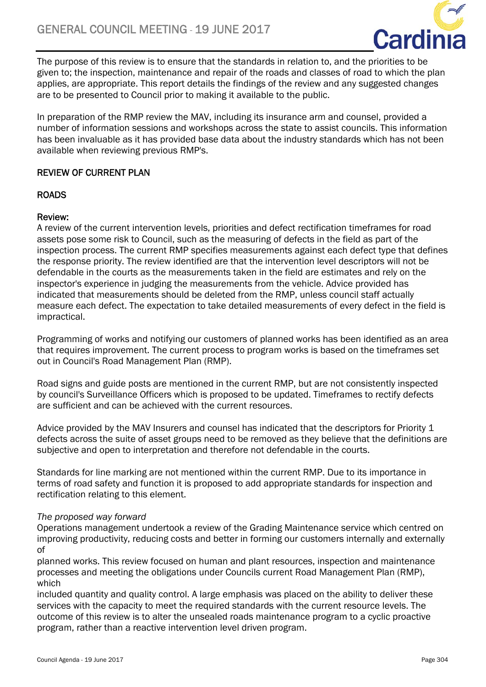

The purpose of this review is to ensure that the standards in relation to, and the priorities to be given to; the inspection, maintenance and repair of the roads and classes of road to which the plan applies, are appropriate. This report details the findings of the review and any suggested changes are to be presented to Council prior to making it available to the public.

In preparation of the RMP review the MAV, including its insurance arm and counsel, provided a number of information sessions and workshops across the state to assist councils. This information has been invaluable as it has provided base data about the industry standards which has not been available when reviewing previous RMP's.

# REVIEW OF CURRENT PLAN

# ROADS

# Review:

A review of the current intervention levels, priorities and defect rectification timeframes for road assets pose some risk to Council, such as the measuring of defects in the field as part of the inspection process. The current RMP specifies measurements against each defect type that defines the response priority. The review identified are that the intervention level descriptors will not be defendable in the courts as the measurements taken in the field are estimates and rely on the inspector's experience in judging the measurements from the vehicle. Advice provided has indicated that measurements should be deleted from the RMP, unless council staff actually measure each defect. The expectation to take detailed measurements of every defect in the field is impractical.

Programming of works and notifying our customers of planned works has been identified as an area that requires improvement. The current process to program works is based on the timeframes set out in Council's Road Management Plan (RMP).

Road signs and guide posts are mentioned in the current RMP, but are not consistently inspected by council's Surveillance Officers which is proposed to be updated. Timeframes to rectify defects are sufficient and can be achieved with the current resources.

Advice provided by the MAV Insurers and counsel has indicated that the descriptors for Priority 1 defects across the suite of asset groups need to be removed as they believe that the definitions are subjective and open to interpretation and therefore not defendable in the courts.

Standards for line marking are not mentioned within the current RMP. Due to its importance in terms of road safety and function it is proposed to add appropriate standards for inspection and rectification relating to this element.

# *The proposed way forward*

Operations management undertook a review of the Grading Maintenance service which centred on improving productivity, reducing costs and better in forming our customers internally and externally of

planned works. This review focused on human and plant resources, inspection and maintenance processes and meeting the obligations under Councils current Road Management Plan (RMP), which

included quantity and quality control. A large emphasis was placed on the ability to deliver these services with the capacity to meet the required standards with the current resource levels. The outcome of this review is to alter the unsealed roads maintenance program to a cyclic proactive program, rather than a reactive intervention level driven program.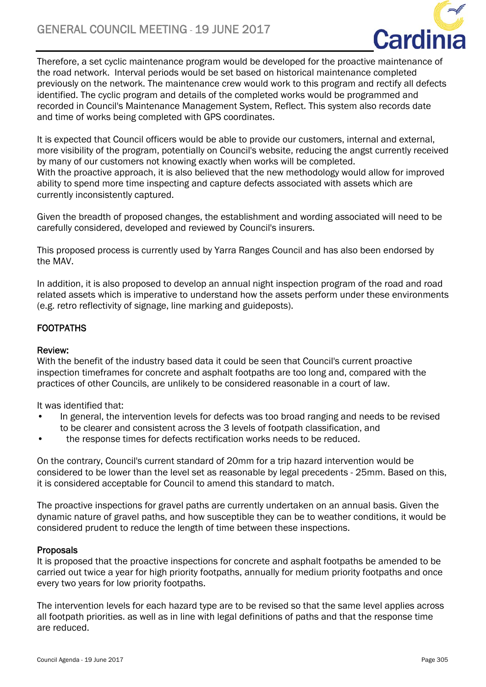

Therefore, a set cyclic maintenance program would be developed for the proactive maintenance of the road network. Interval periods would be set based on historical maintenance completed previously on the network. The maintenance crew would work to this program and rectify all defects identified. The cyclic program and details of the completed works would be programmed and recorded in Council's Maintenance Management System, Reflect. This system also records date and time of works being completed with GPS coordinates.

It is expected that Council officers would be able to provide our customers, internal and external, more visibility of the program, potentially on Council's website, reducing the angst currently received by many of our customers not knowing exactly when works will be completed. With the proactive approach, it is also believed that the new methodology would allow for improved ability to spend more time inspecting and capture defects associated with assets which are currently inconsistently captured.

Given the breadth of proposed changes, the establishment and wording associated will need to be carefully considered, developed and reviewed by Council's insurers.

This proposed process is currently used by Yarra Ranges Council and has also been endorsed by the MAV.

In addition, it is also proposed to develop an annual night inspection program of the road and road related assets which is imperative to understand how the assets perform under these environments (e.g. retro reflectivity of signage, line marking and guideposts).

# **FOOTPATHS**

#### Review:

With the benefit of the industry based data it could be seen that Council's current proactive inspection timeframes for concrete and asphalt footpaths are too long and, compared with the practices of other Councils, are unlikely to be considered reasonable in a court of law.

It was identified that:

- In general, the intervention levels for defects was too broad ranging and needs to be revised to be clearer and consistent across the 3 levels of footpath classification, and
- the response times for defects rectification works needs to be reduced.

On the contrary, Council's current standard of 20mm for a trip hazard intervention would be considered to be lower than the level set as reasonable by legal precedents - 25mm. Based on this, it is considered acceptable for Council to amend this standard to match.

The proactive inspections for gravel paths are currently undertaken on an annual basis. Given the dynamic nature of gravel paths, and how susceptible they can be to weather conditions, it would be considered prudent to reduce the length of time between these inspections.

#### Proposals

It is proposed that the proactive inspections for concrete and asphalt footpaths be amended to be carried out twice a year for high priority footpaths, annually for medium priority footpaths and once every two years for low priority footpaths.

The intervention levels for each hazard type are to be revised so that the same level applies across all footpath priorities. as well as in line with legal definitions of paths and that the response time are reduced.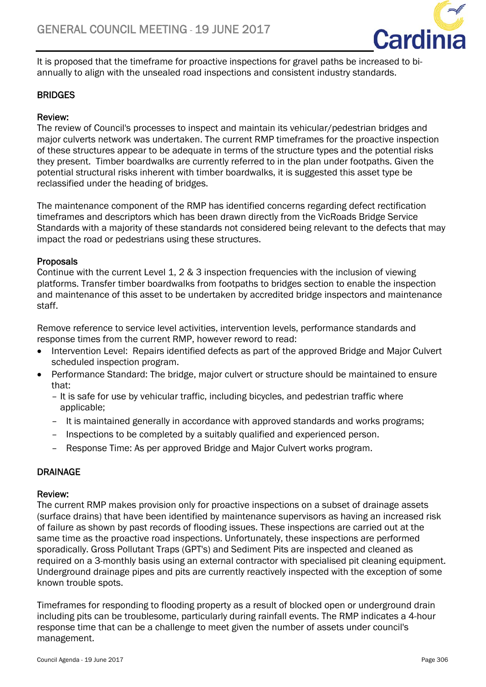

It is proposed that the timeframe for proactive inspections for gravel paths be increased to biannually to align with the unsealed road inspections and consistent industry standards.

# **BRIDGES**

## Review:

The review of Council's processes to inspect and maintain its vehicular/pedestrian bridges and major culverts network was undertaken. The current RMP timeframes for the proactive inspection of these structures appear to be adequate in terms of the structure types and the potential risks they present. Timber boardwalks are currently referred to in the plan under footpaths. Given the potential structural risks inherent with timber boardwalks, it is suggested this asset type be reclassified under the heading of bridges.

The maintenance component of the RMP has identified concerns regarding defect rectification timeframes and descriptors which has been drawn directly from the VicRoads Bridge Service Standards with a majority of these standards not considered being relevant to the defects that may impact the road or pedestrians using these structures.

#### Proposals

Continue with the current Level 1, 2 & 3 inspection frequencies with the inclusion of viewing platforms. Transfer timber boardwalks from footpaths to bridges section to enable the inspection and maintenance of this asset to be undertaken by accredited bridge inspectors and maintenance staff.

Remove reference to service level activities, intervention levels, performance standards and response times from the current RMP, however reword to read:

- Intervention Level: Repairs identified defects as part of the approved Bridge and Major Culvert scheduled inspection program.
- Performance Standard: The bridge, major culvert or structure should be maintained to ensure that:
	- It is safe for use by vehicular traffic, including bicycles, and pedestrian traffic where applicable;
	- It is maintained generally in accordance with approved standards and works programs;
	- Inspections to be completed by a suitably qualified and experienced person.
	- Response Time: As per approved Bridge and Major Culvert works program.

# DRAINAGE

#### Review:

The current RMP makes provision only for proactive inspections on a subset of drainage assets (surface drains) that have been identified by maintenance supervisors as having an increased risk of failure as shown by past records of flooding issues. These inspections are carried out at the same time as the proactive road inspections. Unfortunately, these inspections are performed sporadically. Gross Pollutant Traps (GPT's) and Sediment Pits are inspected and cleaned as required on a 3-monthly basis using an external contractor with specialised pit cleaning equipment. Underground drainage pipes and pits are currently reactively inspected with the exception of some known trouble spots.

Timeframes for responding to flooding property as a result of blocked open or underground drain including pits can be troublesome, particularly during rainfall events. The RMP indicates a 4-hour response time that can be a challenge to meet given the number of assets under council's management.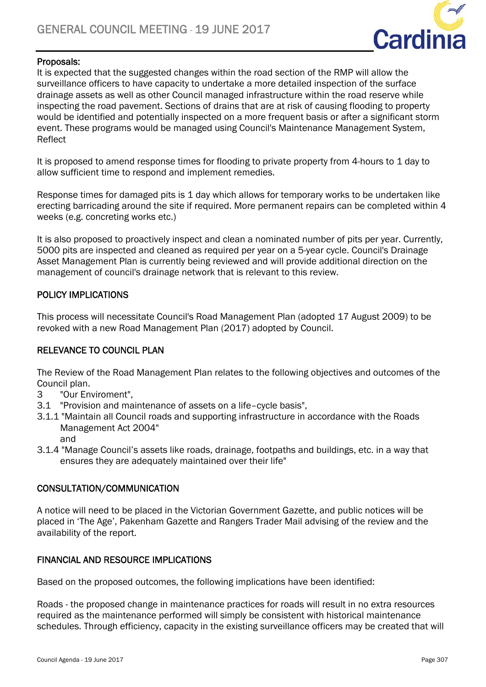

## Proposals:

It is expected that the suggested changes within the road section of the RMP will allow the surveillance officers to have capacity to undertake a more detailed inspection of the surface drainage assets as well as other Council managed infrastructure within the road reserve while inspecting the road pavement. Sections of drains that are at risk of causing flooding to property would be identified and potentially inspected on a more frequent basis or after a significant storm event. These programs would be managed using Council's Maintenance Management System, Reflect

It is proposed to amend response times for flooding to private property from 4-hours to 1 day to allow sufficient time to respond and implement remedies.

Response times for damaged pits is 1 day which allows for temporary works to be undertaken like erecting barricading around the site if required. More permanent repairs can be completed within 4 weeks (e.g. concreting works etc.)

It is also proposed to proactively inspect and clean a nominated number of pits per year. Currently, 5000 pits are inspected and cleaned as required per year on a 5-year cycle. Council's Drainage Asset Management Plan is currently being reviewed and will provide additional direction on the management of council's drainage network that is relevant to this review.

# POLICY IMPLICATIONS

This process will necessitate Council's Road Management Plan (adopted 17 August 2009) to be revoked with a new Road Management Plan (2017) adopted by Council.

# RELEVANCE TO COUNCIL PLAN

The Review of the Road Management Plan relates to the following objectives and outcomes of the Council plan.

- 3 "Our Enviroment",
- 3.1 "Provision and maintenance of assets on a life–cycle basis",
- 3.1.1 "Maintain all Council roads and supporting infrastructure in accordance with the Roads Management Act 2004"
	- and
- 3.1.4 "Manage Council's assets like roads, drainage, footpaths and buildings, etc. in a way that ensures they are adequately maintained over their life"

# CONSULTATION/COMMUNICATION

A notice will need to be placed in the Victorian Government Gazette, and public notices will be placed in 'The Age', Pakenham Gazette and Rangers Trader Mail advising of the review and the availability of the report.

# FINANCIAL AND RESOURCE IMPLICATIONS

Based on the proposed outcomes, the following implications have been identified:

Roads - the proposed change in maintenance practices for roads will result in no extra resources required as the maintenance performed will simply be consistent with historical maintenance schedules. Through efficiency, capacity in the existing surveillance officers may be created that will